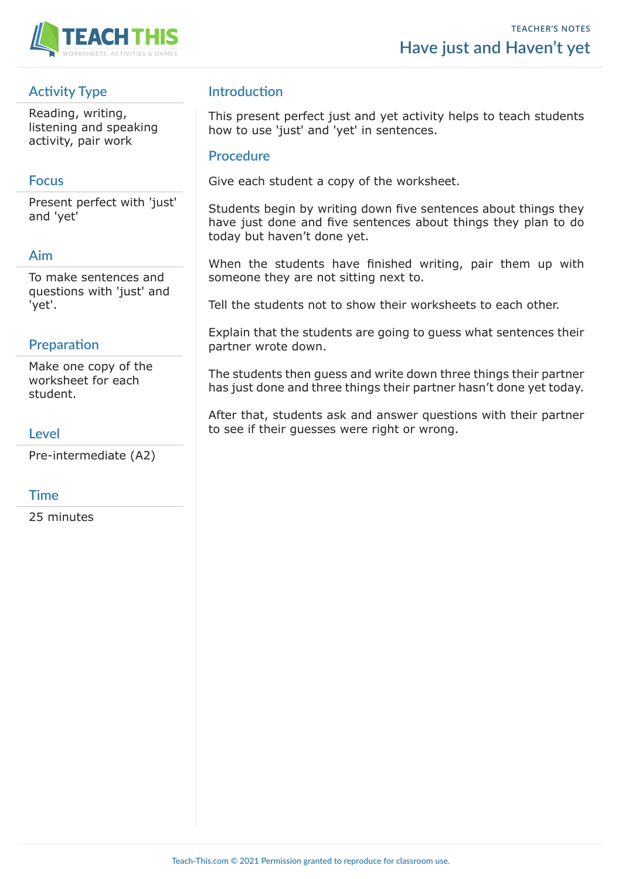

# **Activity Type**

Reading, writing, listening and speaking activity, pair work

## **Focus**

Present perfect with 'just' and 'yet'

# **Aim**

To make sentences and questions with 'just' and 'yet'.

# **Preparation**

Make one copy of the worksheet for each student.

#### **Level**

Pre-intermediate (A2)

### **Time**

25 minutes

# **Introduction**

This present perfect just and yet activity helps to teach students how to use 'just' and 'yet' in sentences.

#### **Procedure**

Give each student a copy of the worksheet.

Students begin by writing down five sentences about things they have just done and five sentences about things they plan to do today but haven't done yet.

When the students have finished writing, pair them up with someone they are not sitting next to.

Tell the students not to show their worksheets to each other.

Explain that the students are going to guess what sentences their partner wrote down.

The students then guess and write down three things their partner has just done and three things their partner hasn't done yet today.

After that, students ask and answer questions with their partner to see if their guesses were right or wrong.